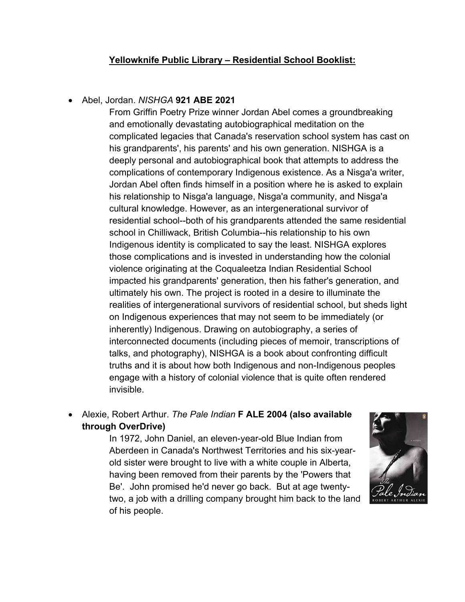## **Yellowknife Public Library – Residential School Booklist:**

## Abel, Jordan. *NISHGA* **921 ABE 2021**

From Griffin Poetry Prize winner Jordan Abel comes a groundbreaking and emotionally devastating autobiographical meditation on the complicated legacies that Canada's reservation school system has cast on his grandparents', his parents' and his own generation. NISHGA is a deeply personal and autobiographical book that attempts to address the complications of contemporary Indigenous existence. As a Nisga'a writer, Jordan Abel often finds himself in a position where he is asked to explain his relationship to Nisga'a language, Nisga'a community, and Nisga'a cultural knowledge. However, as an intergenerational survivor of residential school--both of his grandparents attended the same residential school in Chilliwack, British Columbia--his relationship to his own Indigenous identity is complicated to say the least. NISHGA explores those complications and is invested in understanding how the colonial violence originating at the Coqualeetza Indian Residential School impacted his grandparents' generation, then his father's generation, and ultimately his own. The project is rooted in a desire to illuminate the realities of intergenerational survivors of residential school, but sheds light on Indigenous experiences that may not seem to be immediately (or inherently) Indigenous. Drawing on autobiography, a series of interconnected documents (including pieces of memoir, transcriptions of talks, and photography), NISHGA is a book about confronting difficult truths and it is about how both Indigenous and non-Indigenous peoples engage with a history of colonial violence that is quite often rendered invisible.

 Alexie, Robert Arthur. *The Pale Indian* **F ALE 2004 (also available through OverDrive)**

> In 1972, John Daniel, an eleven-year-old Blue Indian from Aberdeen in Canada's Northwest Territories and his six-yearold sister were brought to live with a white couple in Alberta, having been removed from their parents by the 'Powers that Be'. John promised he'd never go back. But at age twentytwo, a job with a drilling company brought him back to the land of his people.

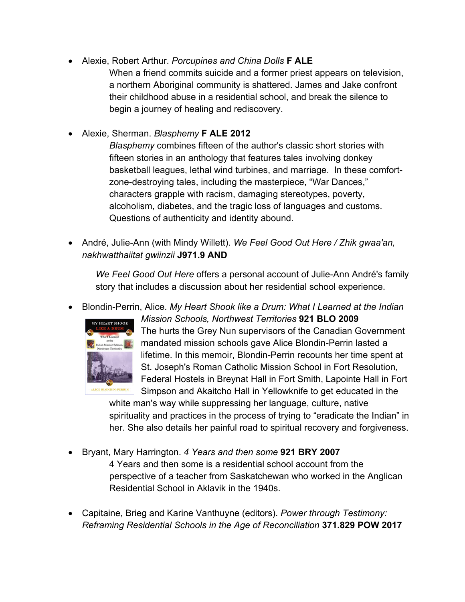- Alexie, Robert Arthur. *Porcupines and China Dolls* **F ALE**
	- When a friend commits suicide and a former priest appears on television, a northern Aboriginal community is shattered. James and Jake confront their childhood abuse in a residential school, and break the silence to begin a journey of healing and rediscovery.
- Alexie, Sherman. *Blasphemy* **F ALE 2012**
	- *Blasphemy* combines fifteen of the author's classic short stories with fifteen stories in an anthology that features tales involving donkey basketball leagues, lethal wind turbines, and marriage. In these comfortzone-destroying tales, including the masterpiece, "War Dances," characters grapple with racism, damaging stereotypes, poverty, alcoholism, diabetes, and the tragic loss of languages and customs. Questions of authenticity and identity abound.
- André, Julie-Ann (with Mindy Willett). *We Feel Good Out Here / Zhik gwaa'an, nakhwatthaiitat gwiinzii* **J971.9 AND**

*We Feel Good Out Here* offers a personal account of Julie-Ann André's family story that includes a discussion about her residential school experience.

Blondin-Perrin, Alice. *My Heart Shook like a Drum: What I Learned at the Indian* 



*Mission Schools, Northwest Territories* **921 BLO 2009** The hurts the Grey Nun supervisors of the Canadian Government mandated mission schools gave Alice Blondin-Perrin lasted a lifetime. In this memoir, Blondin-Perrin recounts her time spent at St. Joseph's Roman Catholic Mission School in Fort Resolution, Federal Hostels in Breynat Hall in Fort Smith, Lapointe Hall in Fort Simpson and Akaitcho Hall in Yellowknife to get educated in the

white man's way while suppressing her language, culture, native spirituality and practices in the process of trying to "eradicate the Indian" in her. She also details her painful road to spiritual recovery and forgiveness.

- Bryant, Mary Harrington. *4 Years and then some* **921 BRY 2007** 4 Years and then some is a residential school account from the perspective of a teacher from Saskatchewan who worked in the Anglican Residential School in Aklavik in the 1940s.
- Capitaine, Brieg and Karine Vanthuyne (editors). *Power through Testimony: Reframing Residential Schools in the Age of Reconciliation* **371.829 POW 2017**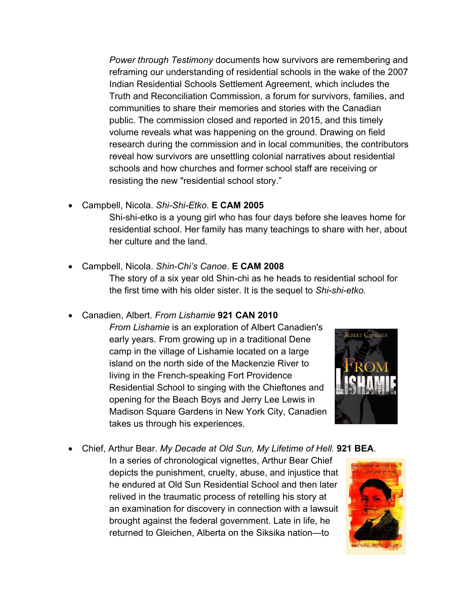*Power through Testimony* documents how survivors are remembering and reframing our understanding of residential schools in the wake of the 2007 Indian Residential Schools Settlement Agreement, which includes the Truth and Reconciliation Commission, a forum for survivors, families, and communities to share their memories and stories with the Canadian public. The commission closed and reported in 2015, and this timely volume reveals what was happening on the ground. Drawing on field research during the commission and in local communities, the contributors reveal how survivors are unsettling colonial narratives about residential schools and how churches and former school staff are receiving or resisting the new "residential school story."

- Campbell, Nicola. *Shi-Shi-Etko*. **E CAM 2005** Shi-shi-etko is a young girl who has four days before she leaves home for residential school. Her family has many teachings to share with her, about her culture and the land.
- Campbell, Nicola. *Shin-Chi's Canoe*. **E CAM 2008**

The story of a six year old Shin-chi as he heads to residential school for the first time with his older sister. It is the sequel to *Shi-shi-etko*.

Canadien, Albert. *From Lishamie* **921 CAN 2010**

*From Lishamie* is an exploration of Albert Canadien's early years. From growing up in a traditional Dene camp in the village of Lishamie located on a large island on the north side of the Mackenzie River to living in the French-speaking Fort Providence Residential School to singing with the Chieftones and opening for the Beach Boys and Jerry Lee Lewis in Madison Square Gardens in New York City, Canadien takes us through his experiences.



Chief, Arthur Bear. *My Decade at Old Sun, My Lifetime of Hell.* **921 BEA**.

In a series of chronological vignettes, Arthur Bear Chief depicts the punishment, cruelty, abuse, and injustice that he endured at Old Sun Residential School and then later relived in the traumatic process of retelling his story at an examination for discovery in connection with a lawsuit brought against the federal government. Late in life, he returned to Gleichen, Alberta on the Siksika nation—to

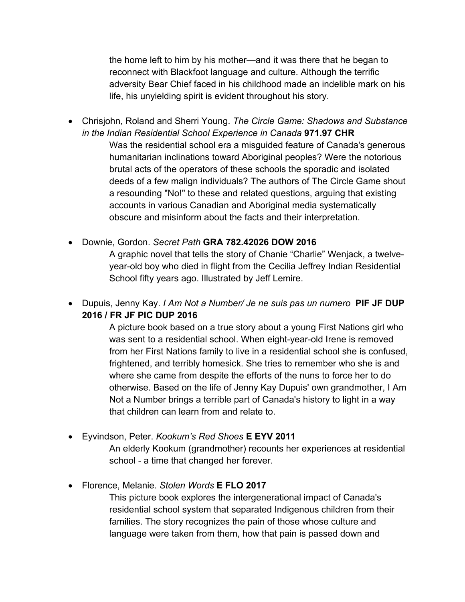the home left to him by his mother—and it was there that he began to reconnect with Blackfoot language and culture. Although the terrific adversity Bear Chief faced in his childhood made an indelible mark on his life, his unyielding spirit is evident throughout his story.

 Chrisjohn, Roland and Sherri Young. *The Circle Game: Shadows and Substance in the Indian Residential School Experience in Canada* **971.97 CHR** Was the residential school era a misguided feature of Canada's generous humanitarian inclinations toward Aboriginal peoples? Were the notorious brutal acts of the operators of these schools the sporadic and isolated deeds of a few malign individuals? The authors of The Circle Game shout a resounding "No!" to these and related questions, arguing that existing accounts in various Canadian and Aboriginal media systematically obscure and misinform about the facts and their interpretation.

## Downie, Gordon. *Secret Path* **GRA 782.42026 DOW 2016**

A graphic novel that tells the story of Chanie "Charlie" Wenjack, a twelveyear-old boy who died in flight from the Cecilia Jeffrey Indian Residential School fifty years ago. Illustrated by Jeff Lemire.

 Dupuis, Jenny Kay. *I Am Not a Number/ Je ne suis pas un numero* **PIF JF DUP 2016 / FR JF PIC DUP 2016**

> A picture book based on a true story about a young First Nations girl who was sent to a residential school. When eight-year-old Irene is removed from her First Nations family to live in a residential school she is confused, frightened, and terribly homesick. She tries to remember who she is and where she came from despite the efforts of the nuns to force her to do otherwise. Based on the life of Jenny Kay Dupuis' own grandmother, I Am Not a Number brings a terrible part of Canada's history to light in a way that children can learn from and relate to.

- Eyvindson, Peter. *Kookum's Red Shoes* **E EYV 2011** An elderly Kookum (grandmother) recounts her experiences at residential school - a time that changed her forever.
- Florence, Melanie. *Stolen Words* **E FLO 2017**

 This picture book explores the intergenerational impact of Canada's residential school system that separated Indigenous children from their families. The story recognizes the pain of those whose culture and language were taken from them, how that pain is passed down and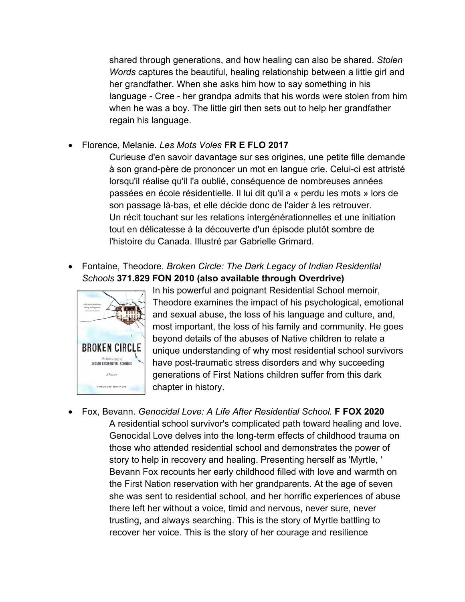shared through generations, and how healing can also be shared. *Stolen Words* captures the beautiful, healing relationship between a little girl and her grandfather. When she asks him how to say something in his language - Cree - her grandpa admits that his words were stolen from him when he was a boy. The little girl then sets out to help her grandfather regain his language.

Florence, Melanie. *Les Mots Voles* **FR E FLO 2017**

Curieuse d'en savoir davantage sur ses origines, une petite fille demande à son grand-père de prononcer un mot en langue crie. Celui-ci est attristé lorsqu'il réalise qu'il l'a oublié, conséquence de nombreuses années passées en école résidentielle. Il lui dit qu'il a « perdu les mots » lors de son passage là-bas, et elle décide donc de l'aider à les retrouver. Un récit touchant sur les relations intergénérationnelles et une initiation tout en délicatesse à la découverte d'un épisode plutôt sombre de l'histoire du Canada. Illustré par Gabrielle Grimard.

 Fontaine, Theodore. *Broken Circle: The Dark Legacy of Indian Residential Schools* **371.829 FON 2010 (also available through Overdrive)**



In his powerful and poignant Residential School memoir, Theodore examines the impact of his psychological, emotional and sexual abuse, the loss of his language and culture, and, most important, the loss of his family and community. He goes beyond details of the abuses of Native children to relate a unique understanding of why most residential school survivors have post-traumatic stress disorders and why succeeding generations of First Nations children suffer from this dark chapter in history.

 Fox, Bevann. *Genocidal Love: A Life After Residential School.* **F FOX 2020** A residential school survivor's complicated path toward healing and love. Genocidal Love delves into the long-term effects of childhood trauma on those who attended residential school and demonstrates the power of story to help in recovery and healing. Presenting herself as 'Myrtle, ' Bevann Fox recounts her early childhood filled with love and warmth on the First Nation reservation with her grandparents. At the age of seven she was sent to residential school, and her horrific experiences of abuse there left her without a voice, timid and nervous, never sure, never trusting, and always searching. This is the story of Myrtle battling to recover her voice. This is the story of her courage and resilience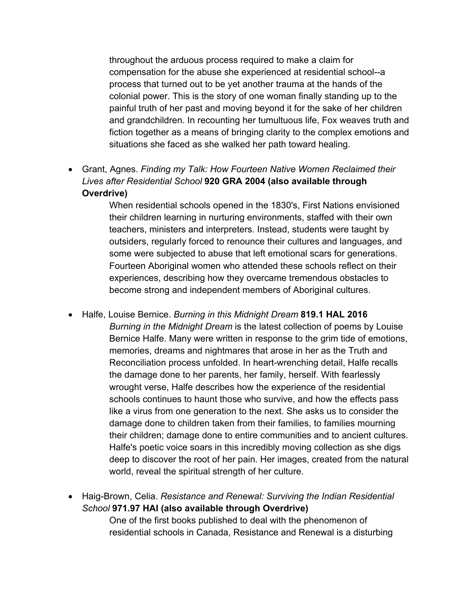throughout the arduous process required to make a claim for compensation for the abuse she experienced at residential school--a process that turned out to be yet another trauma at the hands of the colonial power. This is the story of one woman finally standing up to the painful truth of her past and moving beyond it for the sake of her children and grandchildren. In recounting her tumultuous life, Fox weaves truth and fiction together as a means of bringing clarity to the complex emotions and situations she faced as she walked her path toward healing.

 Grant, Agnes. *Finding my Talk: How Fourteen Native Women Reclaimed their Lives after Residential School* **920 GRA 2004 (also available through Overdrive)**

> When residential schools opened in the 1830's, First Nations envisioned their children learning in nurturing environments, staffed with their own teachers, ministers and interpreters. Instead, students were taught by outsiders, regularly forced to renounce their cultures and languages, and some were subjected to abuse that left emotional scars for generations. Fourteen Aboriginal women who attended these schools reflect on their experiences, describing how they overcame tremendous obstacles to become strong and independent members of Aboriginal cultures.

 Halfe, Louise Bernice. *Burning in this Midnight Dream* **819.1 HAL 2016** *Burning in the Midnight Dream* is the latest collection of poems by Louise Bernice Halfe. Many were written in response to the grim tide of emotions, memories, dreams and nightmares that arose in her as the Truth and Reconciliation process unfolded. In heart-wrenching detail, Halfe recalls the damage done to her parents, her family, herself. With fearlessly wrought verse, Halfe describes how the experience of the residential schools continues to haunt those who survive, and how the effects pass like a virus from one generation to the next. She asks us to consider the damage done to children taken from their families, to families mourning their children; damage done to entire communities and to ancient cultures. Halfe's poetic voice soars in this incredibly moving collection as she digs deep to discover the root of her pain. Her images, created from the natural world, reveal the spiritual strength of her culture.

 Haig-Brown, Celia. *Resistance and Renewal: Surviving the Indian Residential School* **971.97 HAI (also available through Overdrive)** One of the first books published to deal with the phenomenon of residential schools in Canada, Resistance and Renewal is a disturbing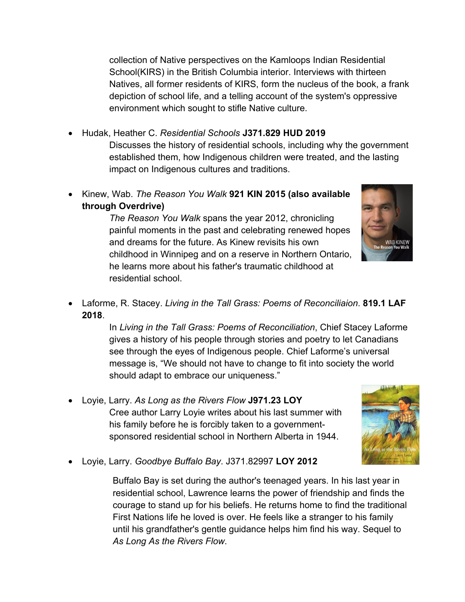collection of Native perspectives on the Kamloops Indian Residential School(KIRS) in the British Columbia interior. Interviews with thirteen Natives, all former residents of KIRS, form the nucleus of the book, a frank depiction of school life, and a telling account of the system's oppressive environment which sought to stifle Native culture.

## Hudak, Heather C. *Residential Schools* **J371.829 HUD 2019**

Discusses the history of residential schools, including why the government established them, how Indigenous children were treated, and the lasting impact on Indigenous cultures and traditions.

 Kinew, Wab. *The Reason You Walk* **921 KIN 2015 (also available through Overdrive)**

> *The Reason You Walk* spans the year 2012, chronicling painful moments in the past and celebrating renewed hopes and dreams for the future. As Kinew revisits his own childhood in Winnipeg and on a reserve in Northern Ontario, he learns more about his father's traumatic childhood at residential school.



 Laforme, R. Stacey. *Living in the Tall Grass: Poems of Reconciliaion*. **819.1 LAF 2018**.

> In *Living in the Tall Grass: Poems of Reconciliation*, Chief Stacey Laforme gives a history of his people through stories and poetry to let Canadians see through the eyes of Indigenous people. Chief Laforme's universal message is, "We should not have to change to fit into society the world should adapt to embrace our uniqueness."

 Loyie, Larry. *As Long as the Rivers Flow* **J971.23 LOY** Cree author Larry Loyie writes about his last summer with his family before he is forcibly taken to a governmentsponsored residential school in Northern Alberta in 1944.



Loyie, Larry. *Goodbye Buffalo Bay*. J371.82997 **LOY 2012**

Buffalo Bay is set during the author's teenaged years. In his last year in residential school, Lawrence learns the power of friendship and finds the courage to stand up for his beliefs. He returns home to find the traditional First Nations life he loved is over. He feels like a stranger to his family until his grandfather's gentle guidance helps him find his way. Sequel to *As Long As the Rivers Flow*.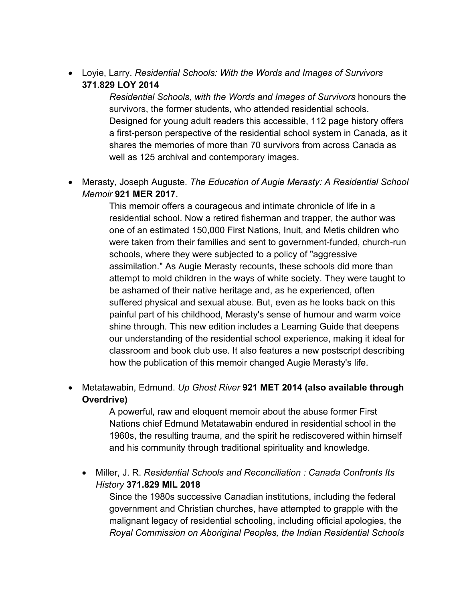Loyie, Larry. *Residential Schools: With the Words and Images of Survivors* **371.829 LOY 2014**

> *Residential Schools, with the Words and Images of Survivors* honours the survivors, the former students, who attended residential schools. Designed for young adult readers this accessible, 112 page history offers a first-person perspective of the residential school system in Canada, as it shares the memories of more than 70 survivors from across Canada as well as 125 archival and contemporary images.

 Merasty, Joseph Auguste. *The Education of Augie Merasty: A Residential School Memoir* **921 MER 2017**.

> This memoir offers a courageous and intimate chronicle of life in a residential school. Now a retired fisherman and trapper, the author was one of an estimated 150,000 First Nations, Inuit, and Metis children who were taken from their families and sent to government-funded, church-run schools, where they were subjected to a policy of "aggressive assimilation." As Augie Merasty recounts, these schools did more than attempt to mold children in the ways of white society. They were taught to be ashamed of their native heritage and, as he experienced, often suffered physical and sexual abuse. But, even as he looks back on this painful part of his childhood, Merasty's sense of humour and warm voice shine through. This new edition includes a Learning Guide that deepens our understanding of the residential school experience, making it ideal for classroom and book club use. It also features a new postscript describing how the publication of this memoir changed Augie Merasty's life.

 Metatawabin, Edmund. *Up Ghost River* **921 MET 2014 (also available through Overdrive)**

> A powerful, raw and eloquent memoir about the abuse former First Nations chief Edmund Metatawabin endured in residential school in the 1960s, the resulting trauma, and the spirit he rediscovered within himself and his community through traditional spirituality and knowledge.

 Miller, J. R. *Residential Schools and Reconciliation : Canada Confronts Its History* **371.829 MIL 2018**

Since the 1980s successive Canadian institutions, including the federal government and Christian churches, have attempted to grapple with the malignant legacy of residential schooling, including official apologies, the *Royal Commission on Aboriginal Peoples, the Indian Residential Schools*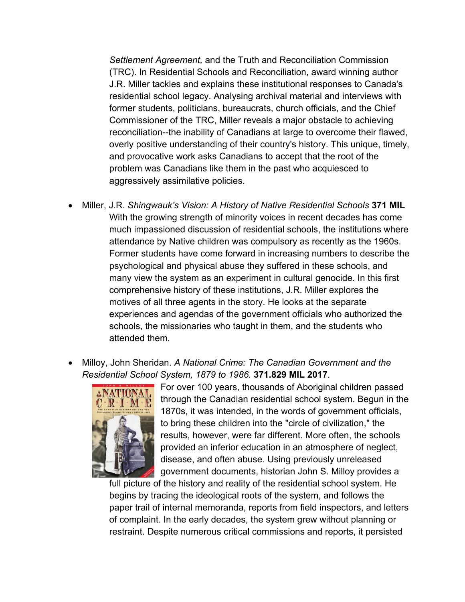*Settlement Agreement,* and the Truth and Reconciliation Commission (TRC). In Residential Schools and Reconciliation, award winning author J.R. Miller tackles and explains these institutional responses to Canada's residential school legacy. Analysing archival material and interviews with former students, politicians, bureaucrats, church officials, and the Chief Commissioner of the TRC, Miller reveals a major obstacle to achieving reconciliation--the inability of Canadians at large to overcome their flawed, overly positive understanding of their country's history. This unique, timely, and provocative work asks Canadians to accept that the root of the problem was Canadians like them in the past who acquiesced to aggressively assimilative policies.

- Miller, J.R. *Shingwauk's Vision: A History of Native Residential Schools* **371 MIL** With the growing strength of minority voices in recent decades has come much impassioned discussion of residential schools, the institutions where attendance by Native children was compulsory as recently as the 1960s. Former students have come forward in increasing numbers to describe the psychological and physical abuse they suffered in these schools, and many view the system as an experiment in cultural genocide. In this first comprehensive history of these institutions, J.R. Miller explores the motives of all three agents in the story. He looks at the separate experiences and agendas of the government officials who authorized the schools, the missionaries who taught in them, and the students who attended them.
- Milloy, John Sheridan. *A National Crime: The Canadian Government and the Residential School System, 1879 to 1986.* **371.829 MIL 2017**.



For over 100 years, thousands of Aboriginal children passed through the Canadian residential school system. Begun in the 1870s, it was intended, in the words of government officials, to bring these children into the "circle of civilization," the results, however, were far different. More often, the schools provided an inferior education in an atmosphere of neglect, disease, and often abuse. Using previously unreleased government documents, historian John S. Milloy provides a

full picture of the history and reality of the residential school system. He begins by tracing the ideological roots of the system, and follows the paper trail of internal memoranda, reports from field inspectors, and letters of complaint. In the early decades, the system grew without planning or restraint. Despite numerous critical commissions and reports, it persisted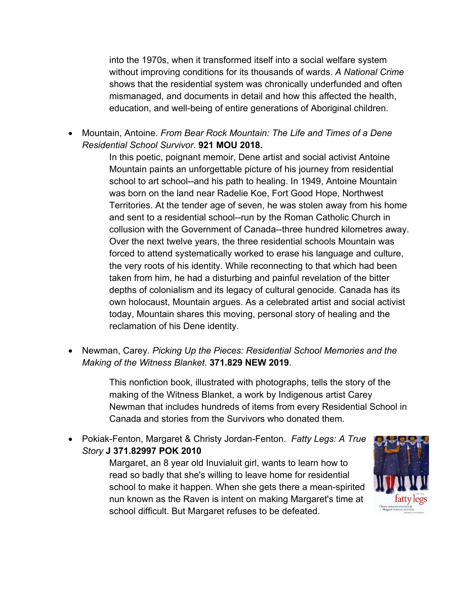into the 1970s, when it transformed itself into a social welfare system without improving conditions for its thousands of wards. *A National Crime* shows that the residential system was chronically underfunded and often mismanaged, and documents in detail and how this affected the health, education, and well-being of entire generations of Aboriginal children.

 Mountain, Antoine. *From Bear Rock Mountain: The Life and Times of a Dene Residential School Survivor*. **921 MOU 2018.**

> In this poetic, poignant memoir, Dene artist and social activist Antoine Mountain paints an unforgettable picture of his journey from residential school to art school--and his path to healing. In 1949, Antoine Mountain was born on the land near Radelie Koe, Fort Good Hope, Northwest Territories. At the tender age of seven, he was stolen away from his home and sent to a residential school--run by the Roman Catholic Church in collusion with the Government of Canada--three hundred kilometres away. Over the next twelve years, the three residential schools Mountain was forced to attend systematically worked to erase his language and culture, the very roots of his identity. While reconnecting to that which had been taken from him, he had a disturbing and painful revelation of the bitter depths of colonialism and its legacy of cultural genocide. Canada has its own holocaust, Mountain argues. As a celebrated artist and social activist today, Mountain shares this moving, personal story of healing and the reclamation of his Dene identity.

 Newman, Carey. *Picking Up the Pieces: Residential School Memories and the Making of the Witness Blanket*. **371.829 NEW 2019**.

> This nonfiction book, illustrated with photographs, tells the story of the making of the Witness Blanket, a work by Indigenous artist Carey Newman that includes hundreds of items from every Residential School in Canada and stories from the Survivors who donated them.

 Pokiak-Fenton, Margaret & Christy Jordan-Fenton. *Fatty Legs: A True Story* **J 371.82997 POK 2010**

> Margaret, an 8 year old Inuvialuit girl, wants to learn how to read so badly that she's willing to leave home for residential school to make it happen. When she gets there a mean-spirited nun known as the Raven is intent on making Margaret's time at school difficult. But Margaret refuses to be defeated.

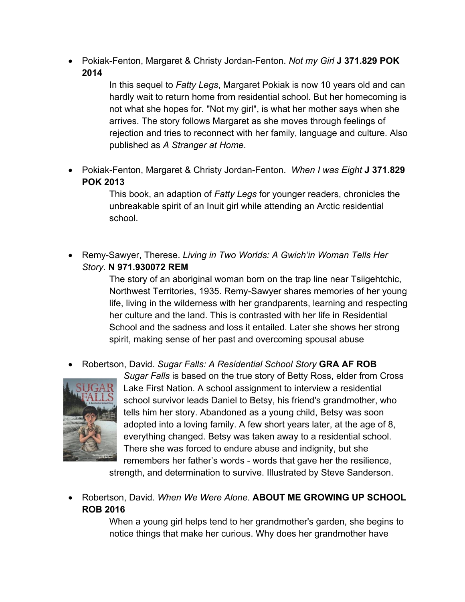Pokiak-Fenton, Margaret & Christy Jordan-Fenton. *Not my Girl* **J 371.829 POK 2014** 

> In this sequel to *Fatty Legs*, Margaret Pokiak is now 10 years old and can hardly wait to return home from residential school. But her homecoming is not what she hopes for. "Not my girl", is what her mother says when she arrives. The story follows Margaret as she moves through feelings of rejection and tries to reconnect with her family, language and culture. Also published as *A Stranger at Home*.

 Pokiak-Fenton, Margaret & Christy Jordan-Fenton. *When I was Eight* **J 371.829 POK 2013** 

> This book, an adaption of *Fatty Legs* for younger readers, chronicles the unbreakable spirit of an Inuit girl while attending an Arctic residential school.

 Remy-Sawyer, Therese. *Living in Two Worlds: A Gwich'in Woman Tells Her Story.* **N 971.930072 REM** 

> The story of an aboriginal woman born on the trap line near Tsiigehtchic, Northwest Territories, 1935. Remy-Sawyer shares memories of her young life, living in the wilderness with her grandparents, learning and respecting her culture and the land. This is contrasted with her life in Residential School and the sadness and loss it entailed. Later she shows her strong spirit, making sense of her past and overcoming spousal abuse

Robertson, David. *Sugar Falls: A Residential School Story* **GRA AF ROB**



*Sugar Falls* is based on the true story of Betty Ross, elder from Cross Lake First Nation. A school assignment to interview a residential school survivor leads Daniel to Betsy, his friend's grandmother, who tells him her story. Abandoned as a young child, Betsy was soon adopted into a loving family. A few short years later, at the age of 8, everything changed. Betsy was taken away to a residential school. There she was forced to endure abuse and indignity, but she remembers her father's words - words that gave her the resilience,

strength, and determination to survive. Illustrated by Steve Sanderson.

 Robertson, David. *When We Were Alone*. **ABOUT ME GROWING UP SCHOOL ROB 2016** 

> When a young girl helps tend to her grandmother's garden, she begins to notice things that make her curious. Why does her grandmother have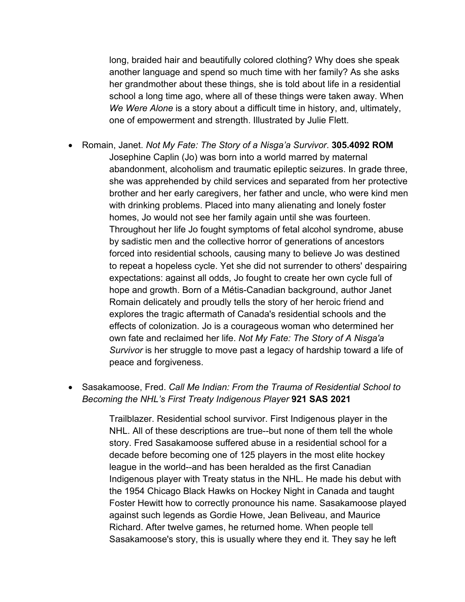long, braided hair and beautifully colored clothing? Why does she speak another language and spend so much time with her family? As she asks her grandmother about these things, she is told about life in a residential school a long time ago, where all of these things were taken away. When *We Were Alone* is a story about a difficult time in history, and, ultimately, one of empowerment and strength. Illustrated by Julie Flett.

- Romain, Janet. *Not My Fate: The Story of a Nisga'a Survivor*. **305.4092 ROM** Josephine Caplin (Jo) was born into a world marred by maternal abandonment, alcoholism and traumatic epileptic seizures. In grade three, she was apprehended by child services and separated from her protective brother and her early caregivers, her father and uncle, who were kind men with drinking problems. Placed into many alienating and lonely foster homes, Jo would not see her family again until she was fourteen. Throughout her life Jo fought symptoms of fetal alcohol syndrome, abuse by sadistic men and the collective horror of generations of ancestors forced into residential schools, causing many to believe Jo was destined to repeat a hopeless cycle. Yet she did not surrender to others' despairing expectations: against all odds, Jo fought to create her own cycle full of hope and growth. Born of a Métis-Canadian background, author Janet Romain delicately and proudly tells the story of her heroic friend and explores the tragic aftermath of Canada's residential schools and the effects of colonization. Jo is a courageous woman who determined her own fate and reclaimed her life. *Not My Fate: The Story of A Nisga'a*  Survivor is her struggle to move past a legacy of hardship toward a life of peace and forgiveness.
- Sasakamoose, Fred. *Call Me Indian: From the Trauma of Residential School to Becoming the NHL's First Treaty Indigenous Player* **921 SAS 2021**

Trailblazer. Residential school survivor. First Indigenous player in the NHL. All of these descriptions are true--but none of them tell the whole story. Fred Sasakamoose suffered abuse in a residential school for a decade before becoming one of 125 players in the most elite hockey league in the world--and has been heralded as the first Canadian Indigenous player with Treaty status in the NHL. He made his debut with the 1954 Chicago Black Hawks on Hockey Night in Canada and taught Foster Hewitt how to correctly pronounce his name. Sasakamoose played against such legends as Gordie Howe, Jean Beliveau, and Maurice Richard. After twelve games, he returned home. When people tell Sasakamoose's story, this is usually where they end it. They say he left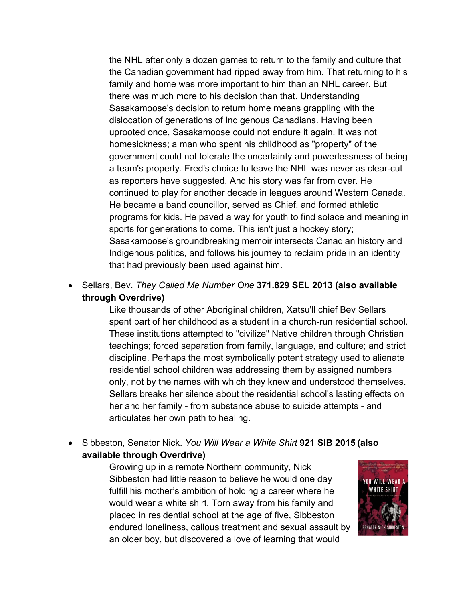the NHL after only a dozen games to return to the family and culture that the Canadian government had ripped away from him. That returning to his family and home was more important to him than an NHL career. But there was much more to his decision than that. Understanding Sasakamoose's decision to return home means grappling with the dislocation of generations of Indigenous Canadians. Having been uprooted once, Sasakamoose could not endure it again. It was not homesickness; a man who spent his childhood as "property" of the government could not tolerate the uncertainty and powerlessness of being a team's property. Fred's choice to leave the NHL was never as clear-cut as reporters have suggested. And his story was far from over. He continued to play for another decade in leagues around Western Canada. He became a band councillor, served as Chief, and formed athletic programs for kids. He paved a way for youth to find solace and meaning in sports for generations to come. This isn't just a hockey story; Sasakamoose's groundbreaking memoir intersects Canadian history and Indigenous politics, and follows his journey to reclaim pride in an identity that had previously been used against him.

 Sellars, Bev. *They Called Me Number One* **371.829 SEL 2013 (also available through Overdrive)**

> Like thousands of other Aboriginal children, Xatsu'll chief Bev Sellars spent part of her childhood as a student in a church-run residential school. These institutions attempted to "civilize" Native children through Christian teachings; forced separation from family, language, and culture; and strict discipline. Perhaps the most symbolically potent strategy used to alienate residential school children was addressing them by assigned numbers only, not by the names with which they knew and understood themselves. Sellars breaks her silence about the residential school's lasting effects on her and her family - from substance abuse to suicide attempts - and articulates her own path to healing.

 Sibbeston, Senator Nick. *You Will Wear a White Shirt* **921 SIB 2015 (also available through Overdrive)**

> Growing up in a remote Northern community, Nick Sibbeston had little reason to believe he would one day fulfill his mother's ambition of holding a career where he would wear a white shirt. Torn away from his family and placed in residential school at the age of five, Sibbeston endured loneliness, callous treatment and sexual assault by an older boy, but discovered a love of learning that would

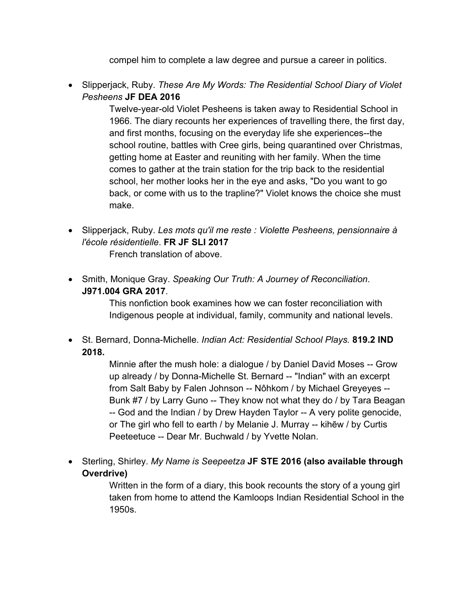compel him to complete a law degree and pursue a career in politics.

 Slipperjack, Ruby. *These Are My Words: The Residential School Diary of Violet Pesheens* **JF DEA 2016**

> Twelve-year-old Violet Pesheens is taken away to Residential School in 1966. The diary recounts her experiences of travelling there, the first day, and first months, focusing on the everyday life she experiences--the school routine, battles with Cree girls, being quarantined over Christmas, getting home at Easter and reuniting with her family. When the time comes to gather at the train station for the trip back to the residential school, her mother looks her in the eye and asks, "Do you want to go back, or come with us to the trapline?" Violet knows the choice she must make.

 Slipperjack, Ruby. *Les mots qu'il me reste : Violette Pesheens, pensionnaire à l'école résidentielle*. **FR JF SLI 2017**

French translation of above.

 Smith, Monique Gray. *Speaking Our Truth: A Journey of Reconciliation*. **J971.004 GRA 2017**.

> This nonfiction book examines how we can foster reconciliation with Indigenous people at individual, family, community and national levels.

 St. Bernard, Donna-Michelle. *Indian Act: Residential School Plays.* **819.2 IND 2018.**

> Minnie after the mush hole: a dialogue / by Daniel David Moses -- Grow up already / by Donna-Michelle St. Bernard -- "Indian" with an excerpt from Salt Baby by Falen Johnson -- Nôhkom / by Michael Greyeyes -- Bunk #7 / by Larry Guno -- They know not what they do / by Tara Beagan -- God and the Indian / by Drew Hayden Taylor -- A very polite genocide, or The girl who fell to earth / by Melanie J. Murray -- kihēw / by Curtis Peeteetuce -- Dear Mr. Buchwald / by Yvette Nolan.

 Sterling, Shirley. *My Name is Seepeetza* **JF STE 2016 (also available through Overdrive)**

> Written in the form of a diary, this book recounts the story of a young girl taken from home to attend the Kamloops Indian Residential School in the 1950s.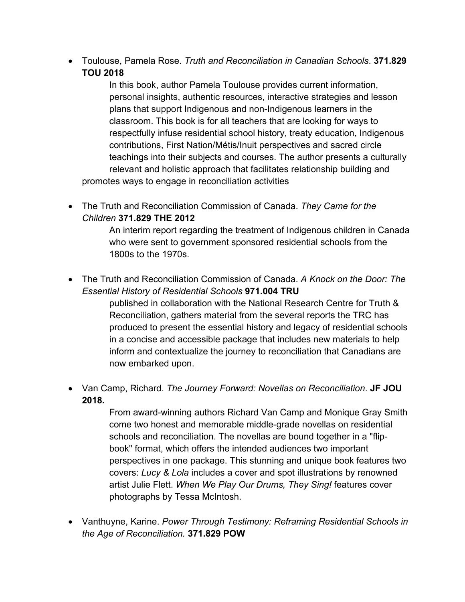Toulouse, Pamela Rose. *Truth and Reconciliation in Canadian Schools*. **371.829 TOU 2018**

In this book, author Pamela Toulouse provides current information, personal insights, authentic resources, interactive strategies and lesson plans that support Indigenous and non-Indigenous learners in the classroom. This book is for all teachers that are looking for ways to respectfully infuse residential school history, treaty education, Indigenous contributions, First Nation/Métis/Inuit perspectives and sacred circle teachings into their subjects and courses. The author presents a culturally relevant and holistic approach that facilitates relationship building and promotes ways to engage in reconciliation activities

 The Truth and Reconciliation Commission of Canada. *They Came for the Children* **371.829 THE 2012**

> An interim report regarding the treatment of Indigenous children in Canada who were sent to government sponsored residential schools from the 1800s to the 1970s.

 The Truth and Reconciliation Commission of Canada. *A Knock on the Door: The Essential History of Residential Schools* **971.004 TRU**

> published in collaboration with the National Research Centre for Truth & Reconciliation, gathers material from the several reports the TRC has produced to present the essential history and legacy of residential schools in a concise and accessible package that includes new materials to help inform and contextualize the journey to reconciliation that Canadians are now embarked upon.

 Van Camp, Richard. *The Journey Forward: Novellas on Reconciliation*. **JF JOU 2018.**

> From award-winning authors Richard Van Camp and Monique Gray Smith come two honest and memorable middle-grade novellas on residential schools and reconciliation. The novellas are bound together in a "flipbook" format, which offers the intended audiences two important perspectives in one package. This stunning and unique book features two covers: *Lucy & Lola* includes a cover and spot illustrations by renowned artist Julie Flett. *When We Play Our Drums, They Sing!* features cover photographs by Tessa McIntosh.

 Vanthuyne, Karine. *Power Through Testimony: Reframing Residential Schools in the Age of Reconciliation.* **371.829 POW**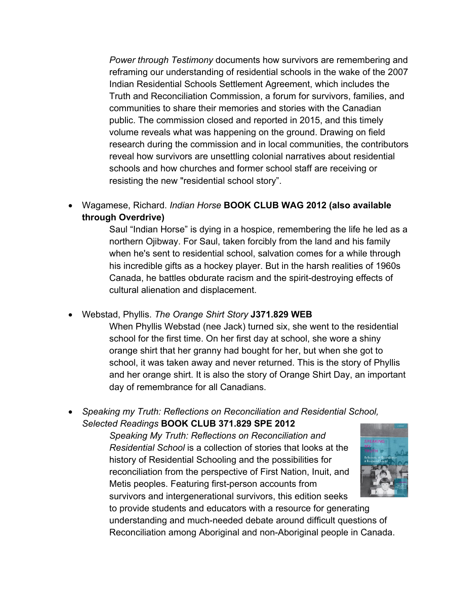*Power through Testimony* documents how survivors are remembering and reframing our understanding of residential schools in the wake of the 2007 Indian Residential Schools Settlement Agreement, which includes the Truth and Reconciliation Commission, a forum for survivors, families, and communities to share their memories and stories with the Canadian public. The commission closed and reported in 2015, and this timely volume reveals what was happening on the ground. Drawing on field research during the commission and in local communities, the contributors reveal how survivors are unsettling colonial narratives about residential schools and how churches and former school staff are receiving or resisting the new "residential school story".

 Wagamese, Richard. *Indian Horse* **BOOK CLUB WAG 2012 (also available through Overdrive)**

> Saul "Indian Horse" is dying in a hospice, remembering the life he led as a northern Ojibway. For Saul, taken forcibly from the land and his family when he's sent to residential school, salvation comes for a while through his incredible gifts as a hockey player. But in the harsh realities of 1960s Canada, he battles obdurate racism and the spirit-destroying effects of cultural alienation and displacement.

Webstad, Phyllis. *The Orange Shirt Story* **J371.829 WEB**

When Phyllis Webstad (nee Jack) turned six, she went to the residential school for the first time. On her first day at school, she wore a shiny orange shirt that her granny had bought for her, but when she got to school, it was taken away and never returned. This is the story of Phyllis and her orange shirt. It is also the story of Orange Shirt Day, an important day of remembrance for all Canadians.

 *Speaking my Truth: Reflections on Reconciliation and Residential School, Selected Readings* **BOOK CLUB 371.829 SPE 2012**

> *Speaking My Truth: Reflections on Reconciliation and Residential School* is a collection of stories that looks at the history of Residential Schooling and the possibilities for reconciliation from the perspective of First Nation, Inuit, and Metis peoples. Featuring first-person accounts from survivors and intergenerational survivors, this edition seeks



to provide students and educators with a resource for generating understanding and much-needed debate around difficult questions of Reconciliation among Aboriginal and non-Aboriginal people in Canada.